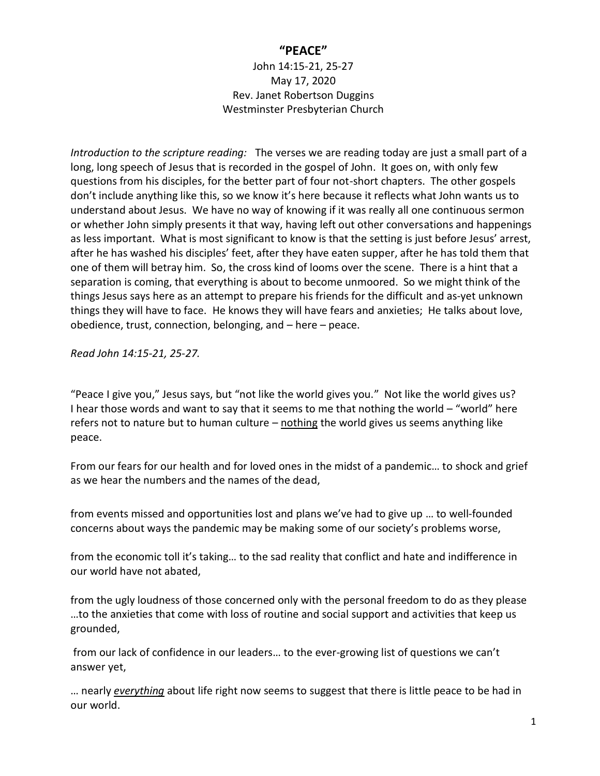## **"PEACE"**

John 14:15-21, 25-27 May 17, 2020 Rev. Janet Robertson Duggins Westminster Presbyterian Church

*Introduction to the scripture reading:* The verses we are reading today are just a small part of a long, long speech of Jesus that is recorded in the gospel of John. It goes on, with only few questions from his disciples, for the better part of four not-short chapters. The other gospels don't include anything like this, so we know it's here because it reflects what John wants us to understand about Jesus. We have no way of knowing if it was really all one continuous sermon or whether John simply presents it that way, having left out other conversations and happenings as less important. What is most significant to know is that the setting is just before Jesus' arrest, after he has washed his disciples' feet, after they have eaten supper, after he has told them that one of them will betray him. So, the cross kind of looms over the scene. There is a hint that a separation is coming, that everything is about to become unmoored. So we might think of the things Jesus says here as an attempt to prepare his friends for the difficult and as-yet unknown things they will have to face. He knows they will have fears and anxieties; He talks about love, obedience, trust, connection, belonging, and – here – peace.

*Read John 14:15-21, 25-27.*

"Peace I give you," Jesus says, but "not like the world gives you." Not like the world gives us? I hear those words and want to say that it seems to me that nothing the world – "world" here refers not to nature but to human culture – nothing the world gives us seems anything like peace.

From our fears for our health and for loved ones in the midst of a pandemic… to shock and grief as we hear the numbers and the names of the dead,

from events missed and opportunities lost and plans we've had to give up … to well-founded concerns about ways the pandemic may be making some of our society's problems worse,

from the economic toll it's taking… to the sad reality that conflict and hate and indifference in our world have not abated,

from the ugly loudness of those concerned only with the personal freedom to do as they please …to the anxieties that come with loss of routine and social support and activities that keep us grounded,

from our lack of confidence in our leaders… to the ever-growing list of questions we can't answer yet,

… nearly *everything* about life right now seems to suggest that there is little peace to be had in our world.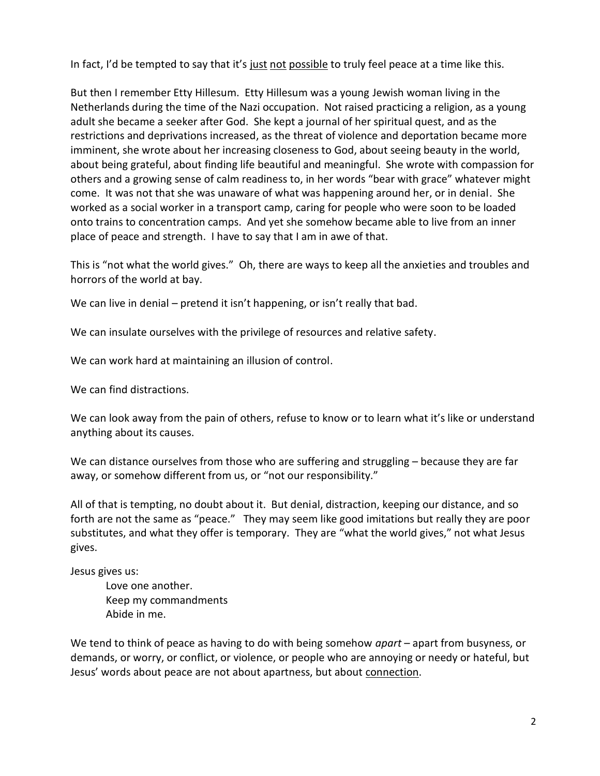In fact, I'd be tempted to say that it's just not possible to truly feel peace at a time like this.

But then I remember Etty Hillesum. Etty Hillesum was a young Jewish woman living in the Netherlands during the time of the Nazi occupation. Not raised practicing a religion, as a young adult she became a seeker after God. She kept a journal of her spiritual quest, and as the restrictions and deprivations increased, as the threat of violence and deportation became more imminent, she wrote about her increasing closeness to God, about seeing beauty in the world, about being grateful, about finding life beautiful and meaningful. She wrote with compassion for others and a growing sense of calm readiness to, in her words "bear with grace" whatever might come. It was not that she was unaware of what was happening around her, or in denial. She worked as a social worker in a transport camp, caring for people who were soon to be loaded onto trains to concentration camps. And yet she somehow became able to live from an inner place of peace and strength. I have to say that I am in awe of that.

This is "not what the world gives." Oh, there are ways to keep all the anxieties and troubles and horrors of the world at bay.

We can live in denial – pretend it isn't happening, or isn't really that bad.

We can insulate ourselves with the privilege of resources and relative safety.

We can work hard at maintaining an illusion of control.

We can find distractions.

We can look away from the pain of others, refuse to know or to learn what it's like or understand anything about its causes.

We can distance ourselves from those who are suffering and struggling – because they are far away, or somehow different from us, or "not our responsibility."

All of that is tempting, no doubt about it. But denial, distraction, keeping our distance, and so forth are not the same as "peace." They may seem like good imitations but really they are poor substitutes, and what they offer is temporary. They are "what the world gives," not what Jesus gives.

Jesus gives us:

 Love one another. Keep my commandments Abide in me.

We tend to think of peace as having to do with being somehow *apart* – apart from busyness, or demands, or worry, or conflict, or violence, or people who are annoying or needy or hateful, but Jesus' words about peace are not about apartness, but about connection.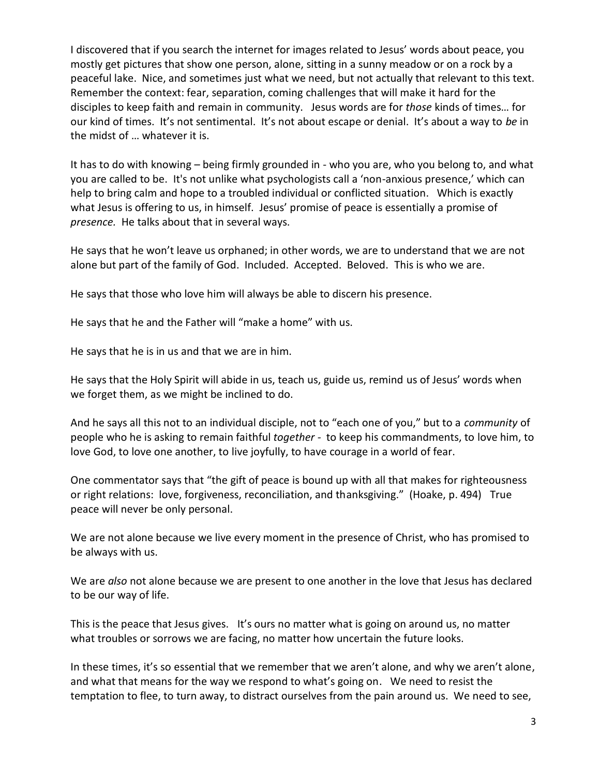I discovered that if you search the internet for images related to Jesus' words about peace, you mostly get pictures that show one person, alone, sitting in a sunny meadow or on a rock by a peaceful lake. Nice, and sometimes just what we need, but not actually that relevant to this text. Remember the context: fear, separation, coming challenges that will make it hard for the disciples to keep faith and remain in community. Jesus words are for *those* kinds of times… for our kind of times. It's not sentimental. It's not about escape or denial. It's about a way to *be* in the midst of … whatever it is.

It has to do with knowing – being firmly grounded in - who you are, who you belong to, and what you are called to be. It's not unlike what psychologists call a 'non-anxious presence,' which can help to bring calm and hope to a troubled individual or conflicted situation. Which is exactly what Jesus is offering to us, in himself. Jesus' promise of peace is essentially a promise of *presence.* He talks about that in several ways.

He says that he won't leave us orphaned; in other words, we are to understand that we are not alone but part of the family of God. Included. Accepted. Beloved. This is who we are.

He says that those who love him will always be able to discern his presence.

He says that he and the Father will "make a home" with us.

He says that he is in us and that we are in him.

He says that the Holy Spirit will abide in us, teach us, guide us, remind us of Jesus' words when we forget them, as we might be inclined to do.

And he says all this not to an individual disciple, not to "each one of you," but to a *community* of people who he is asking to remain faithful *together -* to keep his commandments, to love him, to love God, to love one another, to live joyfully, to have courage in a world of fear.

One commentator says that "the gift of peace is bound up with all that makes for righteousness or right relations: love, forgiveness, reconciliation, and thanksgiving." (Hoake, p. 494) True peace will never be only personal.

We are not alone because we live every moment in the presence of Christ, who has promised to be always with us.

We are *also* not alone because we are present to one another in the love that Jesus has declared to be our way of life.

This is the peace that Jesus gives. It's ours no matter what is going on around us, no matter what troubles or sorrows we are facing, no matter how uncertain the future looks.

In these times, it's so essential that we remember that we aren't alone, and why we aren't alone, and what that means for the way we respond to what's going on. We need to resist the temptation to flee, to turn away, to distract ourselves from the pain around us. We need to see,